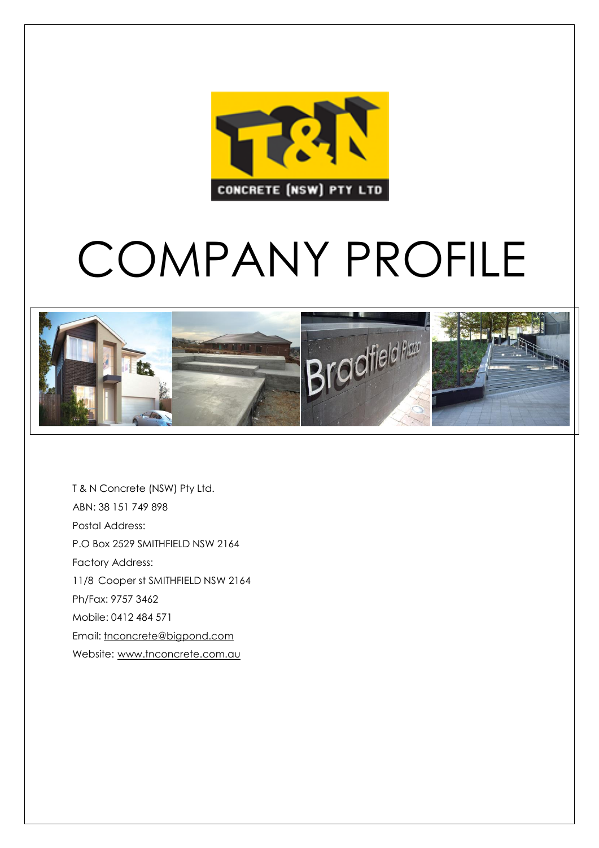

## COMPANY PROFILE



T & N Concrete (NSW) Pty Ltd. ABN: 38 151 749 898 Postal Address: P.O Box 2529 SMITHFIELD NSW 2164 Factory Address: 11/8 Cooper st SMITHFIELD NSW 2164 Ph/Fax: 9757 3462 Mobile: 0412 484 571 Email: [tnconcrete@bigpond.com](mailto:tnconcrete@bigpond.com) Website: [www.tnconcrete.com.au](http://www.tnconcrete.com.au/)